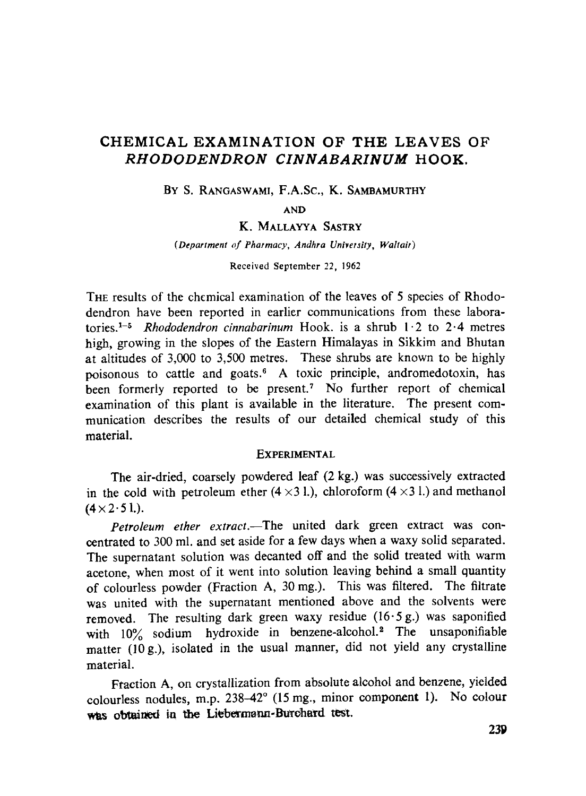# CHEMICAL EXAMINATION OF THE LEAVES OF *RHODODENDRON ClNNABARINUM* HOOK.

BY S. RANGASWAMI, F.A.Sc., K. SAMBAMURTHY

AND

## K. MALLAYYA SASTRY

*(Department of Pharmacy, Andhra University, Waltair)* 

Received September 22, 1962

THE results of the chemical examination of the leaves of 5 species of Rhododendron have been reported in earlier communications from these laboratories.<sup>1-5</sup> *Rhododendron cinnabarinum* Hook. is a shrub  $1 \cdot 2$  to  $2 \cdot 4$  metres high, growing in the slopes of the Eastern Himalayas in Sikkim and Bhutan at altitudes of 3,000 to 3,500 metres. These shrubs ate known to be highly poisonous to cattle and goats. 6 A toxic principle, andromedotoxin, has been formerly reported to be present.<sup>7</sup> No further report of chemical examination of this plant is available in the literature. The present communication describes the results of our detailed chemical study of this material.

#### **EXPERIMENTAL**

The air-dried, coarsely powdered leaf (2 kg.) was successively extracted in the cold with petroleum ether  $(4 \times 3 \text{ l.})$ , chloroform  $(4 \times 3 \text{ l.})$  and methanol  $(4 \times 2.51)$ .

*Petroleum ether extract.--The* united dark green extract was concentrated to 300 mi. and set aside for a few days when a waxy solid separated. The supernatant solution was decanted off and the solid treated with warm acetone, when most of it went into solution leaving behind a small quantity of colourless powder (Fraction A, 30 mg.). This was filtered. The filtrate was united with the supernatant mentioned above and the solvents were removed. The resulting dark green waxy residue  $(16.5 g)$  was saponified with 10% sodium hydroxide in benzene-alcohol.<sup>2</sup> The unsaponifiable matter (10 g.), isolated in the usual manner, did not yield any crystalline material.

Fraction A, on crystallization from absolute alcohol and benzene, yielded colourless nodules, m.p.  $238-42^{\circ}$  (15 mg., minor component 1). No colour was obtained in the Liebermann-Burchard test.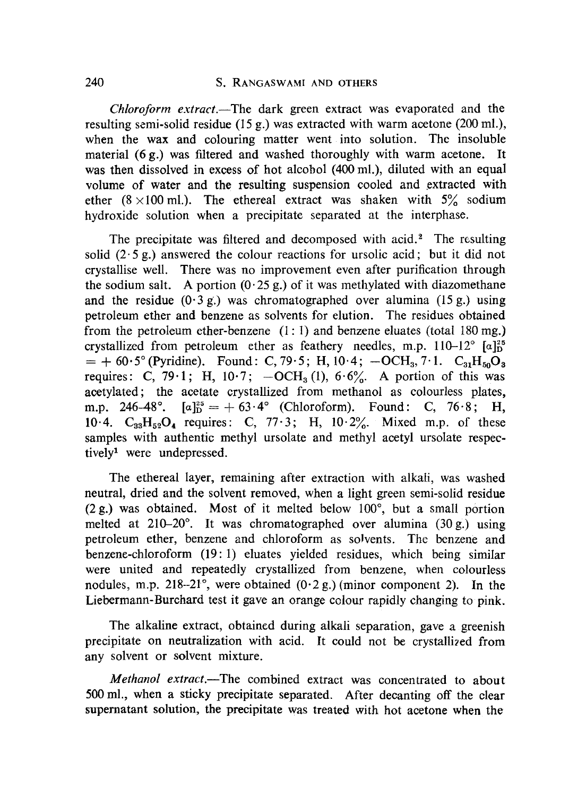*Chloroform extract.--The* dark green extract was evaporated and the resulting semi-solid residue (15 g.) was extracted with warm acetone (200 ml.), when the wax and colouring matter went into solution. The insoluble material (6 g.) was filtered and washed thoroughly with warm acetone. It was then dissolved in excess of hot alcobol (400 ml.), diluted with an equal volume of water and the resulting suspension cooled and extracted with ether  $(8 \times 100 \text{ ml})$ . The ethereal extract was shaken with  $5\%$  sodium hydroxide solution when a precipitate separated at the interphase.

The precipitate was filtered and decomposed with acid. $<sup>2</sup>$  The resulting</sup> solid  $(2.5 g)$  answered the colour reactions for ursolic acid; but it did not crystallise weU. There was no improvement even after purification through the sodium salt. A portion  $(0.25 \text{ g})$  of it was methylated with diazomethane and the residue  $(0.3 \text{ g})$  was chromatographed over alumina  $(15 \text{ g})$  using petroleum ether and benzene as solvents for elution. The residues obtained from the petroleum ether-benzene  $(1: 1)$  and benzene eluates (total 180 mg.) crystallized from petroleum ether as feathery needles, m.p.  $110-12^{\circ}$  [a]<sup>25</sup>  $= +60.5^{\circ}$  (Pyridine). Found: C, 79.5; H, 10.4;  $-OCH_3$ , 7.1. C<sub>31</sub>H<sub>50</sub>O<sub>3</sub> requires: C, 79.1; H,  $10.7$ ;  $-OCH<sub>3</sub>(1)$ ,  $6.6\%$ . A portion of this was acetylated; the acetate crystallized from methanol as colourless plates, m.p. 246-48°.  $[a]_D^{25} = +63.4$ ° (Chloroform). Found: C, 76.8; H, 10.4.  $C_{33}H_{52}O_4$  requires: C, 77.3; H, 10.2%. Mixed m.p. of these samples with authentic methyl ursolate and methyl acetyl ursolate respectively<sup>1</sup> were undepressed.

The ethereal layer, remaining after extraction with alkali, was washed neutral, dried and the solvent removed, when a light green semi-solid residue  $(2 g)$  was obtained. Most of it melted below 100 $^{\circ}$ , but a small portion melted at  $210-20^\circ$ . It was chromatographed over alumina (30 g.) using petroleum ether, benzene and chloroform as solvents. The benzene and benzene-chloroform (19: 1) eluates yielded residues, which being similar were united and repeatedly crystallized from benzene, when colourless nodules, m.p. 218-21 $^{\circ}$ , were obtained  $(0.2 \text{ g.})$  (minor component 2). In the Liebermann-Burchard test it gave ah orange colour rapidly changing to pink.

The alkaline extract, obtained during alkali separation, gave a greenish precipitate on neutralization with acid. It could not be crystallized from any solvent or solvent mixture.

*Methanol extract*.—The combined extract was concentrated to about 500 ml., when a sticky precipitate separated. After decanting off the clear supernatant solution, the preeipitate was treated with hot acetone when the